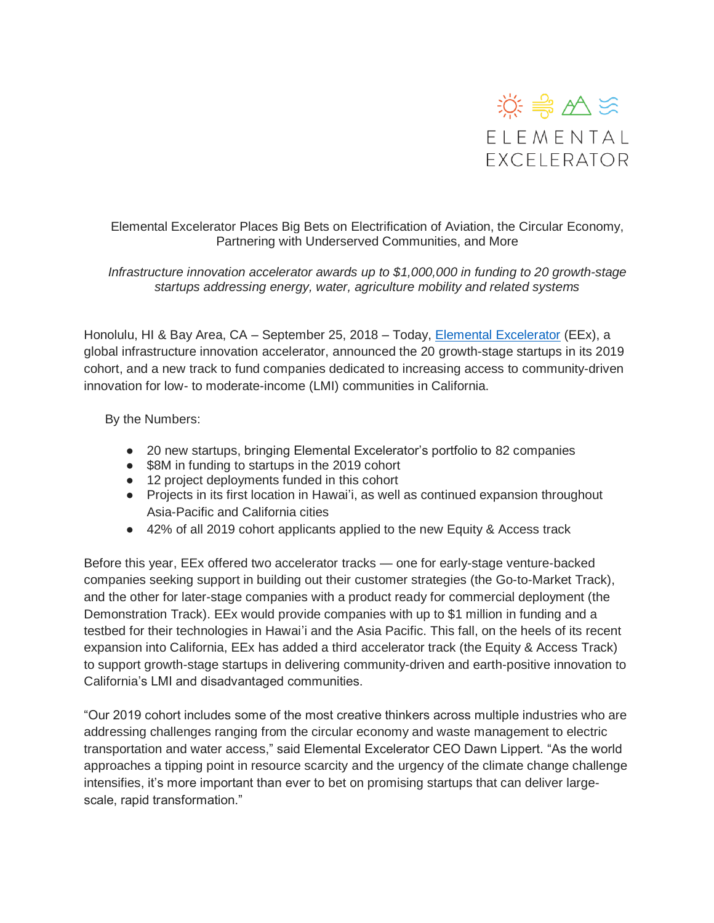

Elemental Excelerator Places Big Bets on Electrification of Aviation, the Circular Economy, Partnering with Underserved Communities, and More

*Infrastructure innovation accelerator awards up to \$1,000,000 in funding to 20 growth-stage startups addressing energy, water, agriculture mobility and related systems*

Honolulu, HI & Bay Area, CA – September 25, 2018 – Today, [Elemental Excelerator](https://elementalexcelerator.com/) (EEx), a global infrastructure innovation accelerator, announced the 20 growth-stage startups in its 2019 cohort, and a new track to fund companies dedicated to increasing access to community-driven innovation for low- to moderate-income (LMI) communities in California.

By the Numbers:

- 20 new startups, bringing Elemental Excelerator's portfolio to 82 companies
- \$8M in funding to startups in the 2019 cohort
- 12 project deployments funded in this cohort
- Projects in its first location in Hawai'i, as well as continued expansion throughout Asia-Pacific and California cities
- 42% of all 2019 cohort applicants applied to the new Equity & Access track

Before this year, EEx offered two accelerator tracks — one for early-stage venture-backed companies seeking support in building out their customer strategies (the Go-to-Market Track), and the other for later-stage companies with a product ready for commercial deployment (the Demonstration Track). EEx would provide companies with up to \$1 million in funding and a testbed for their technologies in Hawai'i and the Asia Pacific. This fall, on the heels of its recent expansion into California, EEx has added a third accelerator track (the Equity & Access Track) to support growth-stage startups in delivering community-driven and earth-positive innovation to California's LMI and disadvantaged communities.

"Our 2019 cohort includes some of the most creative thinkers across multiple industries who are addressing challenges ranging from the circular economy and waste management to electric transportation and water access," said Elemental Excelerator CEO Dawn Lippert. "As the world approaches a tipping point in resource scarcity and the urgency of the climate change challenge intensifies, it's more important than ever to bet on promising startups that can deliver largescale, rapid transformation."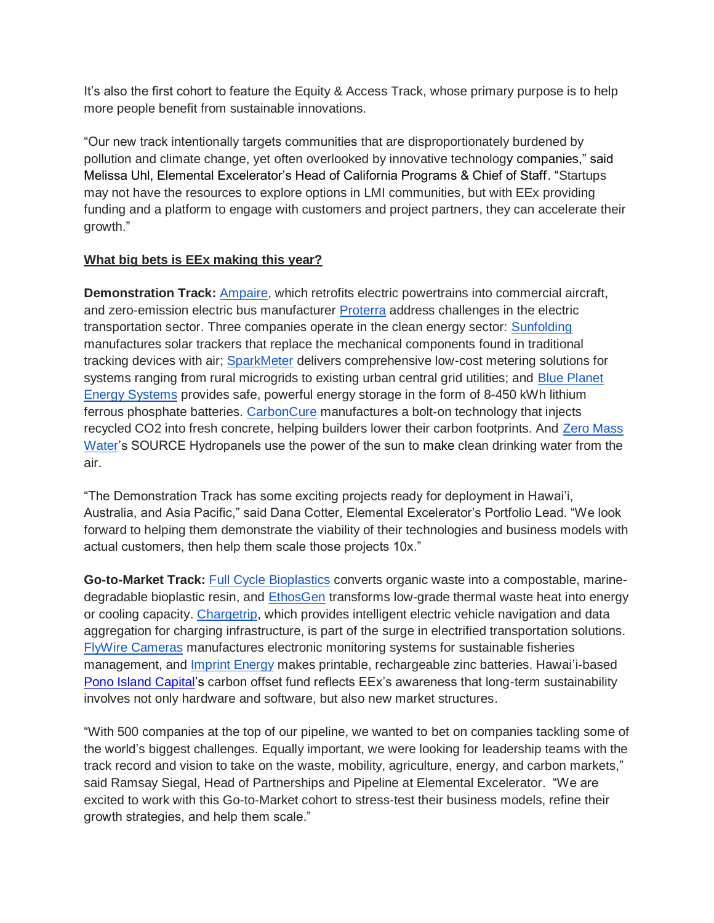It's also the first cohort to feature the Equity & Access Track, whose primary purpose is to help more people benefit from sustainable innovations.

"Our new track intentionally targets communities that are disproportionately burdened by pollution and climate change, yet often overlooked by innovative technology companies," said Melissa Uhl, Elemental Excelerator's Head of California Programs & Chief of Staff. "Startups may not have the resources to explore options in LMI communities, but with EEx providing funding and a platform to engage with customers and project partners, they can accelerate their growth."

## **What big bets is EEx making this year?**

**Demonstration Track:** [Ampaire,](https://www.ampaire.com/) which retrofits electric powertrains into commercial aircraft, and zero-emission electric bus manufacturer [Proterra](https://www.proterra.com/) address challenges in the electric transportation sector. Three companies operate in the clean energy sector: [Sunfolding](http://www.sunfolding.com/) manufactures solar trackers that replace the mechanical components found in traditional tracking devices with air; [SparkMeter](https://www.sparkmeter.io/) delivers comprehensive low-cost metering solutions for systems ranging from rural microgrids to existing urban central grid utilities; and Blue Planet Energy Systems provides safe, powerful energy storage in the form of 8-450 kWh lithium ferrous phosphate batteries. [CarbonCure](https://www.carboncure.com/) manufactures a bolt-on technology that injects recycled CO2 into fresh concrete, helping builders lower their carbon footprints. And Zero [Mass](https://www.zeromasswater.com/)  [Water'](https://www.zeromasswater.com/)s SOURCE Hydropanels use the power of the sun to make clean drinking water from the air.

"The Demonstration Track has some exciting projects ready for deployment in Hawai'i, Australia, and Asia Pacific," said Dana Cotter, Elemental Excelerator's Portfolio Lead. "We look forward to helping them demonstrate the viability of their technologies and business models with actual customers, then help them scale those projects 10x."

**Go-to-Market Track:** [Full Cycle Bioplastics](http://fullcyclebioplastics.com/) converts organic waste into a compostable, marinedegradable bioplastic resin, and **EthosGen** transforms low-grade thermal waste heat into energy or cooling capacity. [Chargetrip,](https://chargetrip.com/) which provides intelligent electric vehicle navigation and data aggregation for charging infrastructure, is part of the surge in electrified transportation solutions. [FlyWire Cameras](http://www.flywirecameras.com/) manufactures electronic monitoring systems for sustainable fisheries management, and [Imprint Energy](http://www.imprintenergy.com/) makes printable, rechargeable zinc batteries. Hawai'i-based [Pono Island Capital's](http://www.ponoislandcapital.com/) carbon offset fund reflects EEx's awareness that long-term sustainability involves not only hardware and software, but also new market structures.

"With 500 companies at the top of our pipeline, we wanted to bet on companies tackling some of the world's biggest challenges. Equally important, we were looking for leadership teams with the track record and vision to take on the waste, mobility, agriculture, energy, and carbon markets," said Ramsay Siegal, Head of Partnerships and Pipeline at Elemental Excelerator. "We are excited to work with this Go-to-Market cohort to stress-test their business models, refine their growth strategies, and help them scale."